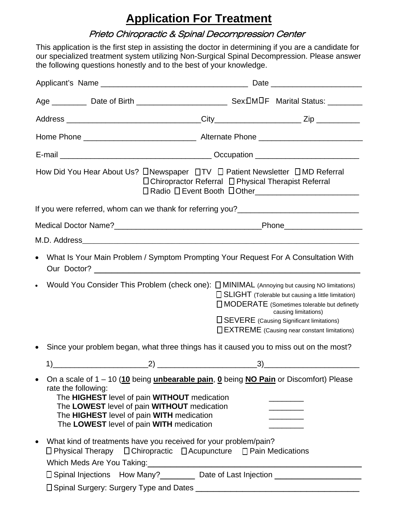# **Application For Treatment**

## Prieto Chiropractic & Spinal Decompression Center

This application is the first step in assisting the doctor in determining if you are a candidate for our specialized treatment system utilizing Non-Surgical Spinal Decompression. Please answer the following questions honestly and to the best of your knowledge.

|                                                                                                                                                                                                                          | How Did You Hear About Us? □Newspaper □TV □ Patient Newsletter □MD Referral<br>□ Chiropractor Referral □ Physical Therapist Referral                       |                                                                                                                                                                                                                              |  |  |  |  |
|--------------------------------------------------------------------------------------------------------------------------------------------------------------------------------------------------------------------------|------------------------------------------------------------------------------------------------------------------------------------------------------------|------------------------------------------------------------------------------------------------------------------------------------------------------------------------------------------------------------------------------|--|--|--|--|
|                                                                                                                                                                                                                          |                                                                                                                                                            |                                                                                                                                                                                                                              |  |  |  |  |
|                                                                                                                                                                                                                          |                                                                                                                                                            |                                                                                                                                                                                                                              |  |  |  |  |
|                                                                                                                                                                                                                          |                                                                                                                                                            |                                                                                                                                                                                                                              |  |  |  |  |
| $\bullet$                                                                                                                                                                                                                | What Is Your Main Problem / Symptom Prompting Your Request For A Consultation With                                                                         |                                                                                                                                                                                                                              |  |  |  |  |
| $\bullet$                                                                                                                                                                                                                | Would You Consider This Problem (check one): $\Box$ MINIMAL (Annoying but causing NO limitations)                                                          | □ SLIGHT (Tolerable but causing a little limitation)<br>□ MODERATE (Sometimes tolerable but definetly<br>causing limitations)<br>□ SEVERE (Causing Significant limitations)<br>□ EXTREME (Causing near constant limitations) |  |  |  |  |
| $\bullet$                                                                                                                                                                                                                | Since your problem began, what three things has it caused you to miss out on the most?                                                                     |                                                                                                                                                                                                                              |  |  |  |  |
| 1)                                                                                                                                                                                                                       | $(2)$ $(3)$                                                                                                                                                |                                                                                                                                                                                                                              |  |  |  |  |
| $\bullet$<br>rate the following:<br>The HIGHEST level of pain WITHOUT medication<br>The LOWEST level of pain WITHOUT medication<br>The HIGHEST level of pain WITH medication<br>The LOWEST level of pain WITH medication | On a scale of $1 - 10$ (10 being unbearable pain, 0 being NO Pain or Discomfort) Please                                                                    |                                                                                                                                                                                                                              |  |  |  |  |
| $\bullet$                                                                                                                                                                                                                | What kind of treatments have you received for your problem/pain?<br>$\Box$ Physical Therapy $\Box$ Chiropractic $\Box$ Acupuncture $\Box$ Pain Medications |                                                                                                                                                                                                                              |  |  |  |  |
|                                                                                                                                                                                                                          | □ Spinal Injections How Many?<br>□ Spinal Injections How Many?<br>□ Date of Last Injection<br><u> </u>                                                     |                                                                                                                                                                                                                              |  |  |  |  |
|                                                                                                                                                                                                                          |                                                                                                                                                            |                                                                                                                                                                                                                              |  |  |  |  |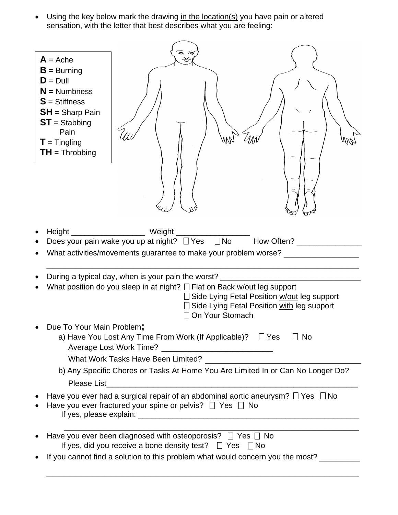• Using the key below mark the drawing in the location(s) you have pain or altered sensation, with the letter that best describes what you are feeling:

| $A =$ Ache<br>$B =$ Burning<br>$D = D$ ull<br>$N =$ Numbness<br>$S = Stiffness$<br>$SH =$ Sharp Pain<br>$ST =$ Stabbing<br>Pain<br>$T =$ Tingling<br>$TH = Throbbing$ | WW                                                                                                                                                                                                                                                                                                            |                                                                                                                         |
|-----------------------------------------------------------------------------------------------------------------------------------------------------------------------|---------------------------------------------------------------------------------------------------------------------------------------------------------------------------------------------------------------------------------------------------------------------------------------------------------------|-------------------------------------------------------------------------------------------------------------------------|
| Height<br>$\bullet$<br>$\bullet$                                                                                                                                      | _________ Weight<br>$\Box$ No<br>Does your pain wake you up at night? $\Box$ Yes<br>What activities/movements guarantee to make your problem worse?<br>During a typical day, when is your pain the worst?<br>What position do you sleep in at night? $\Box$ Flat on Back w/out leg support<br>On Your Stomach | How Often? _______________<br>Side Lying Fetal Position w/out leg support<br>Side Lying Fetal Position with leg support |
| Due To Your Main Problem;                                                                                                                                             | a) Have You Lost Any Time From Work (If Applicable)? $\Box$ Yes $\Box$ No<br>b) Any Specific Chores or Tasks At Home You Are Limited In or Can No Longer Do?                                                                                                                                                  |                                                                                                                         |
| $\bullet$                                                                                                                                                             | Have you ever had a surgical repair of an abdominal aortic aneurysm? $\Box$ Yes $\Box$ No<br>Have you ever fractured your spine or pelvis? $\Box$ Yes $\Box$ No                                                                                                                                               |                                                                                                                         |
|                                                                                                                                                                       | Have you ever been diagnosed with osteoporosis? $\Box$ Yes $\Box$ No<br>If yes, did you receive a bone density test? $\Box$ Yes $\Box$ No<br>If you cannot find a solution to this problem what would concern you the most?                                                                                   |                                                                                                                         |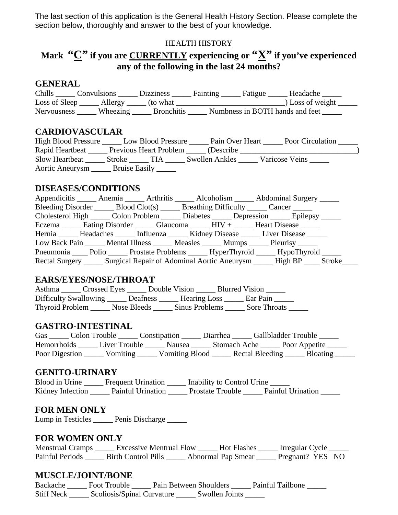The last section of this application is the General Health History Section. Please complete the section below, thoroughly and answer to the best of your knowledge.

#### HEALTH HISTORY

# **Mark "C" if you are CURRENTLY experiencing or "X" if you've experienced any of the following in the last 24 months?**

#### **GENERAL**

| Chills             | <b>Convulsions</b> | <b>Dizziness</b>  | <b>Fainting</b><br>Fatigue      | Headache         |
|--------------------|--------------------|-------------------|---------------------------------|------------------|
| Loss of Sleep      | Allergy            | (to what)         |                                 | ) Loss of weight |
| <b>Nervousness</b> | Wheezing           | <b>Bronchitis</b> | Numbness in BOTH hands and feet |                  |

#### **CARDIOVASCULAR**

| High Blood Pressure |               | Low Blood Pressure            | Pain Over Heart | Poor Circulation |  |
|---------------------|---------------|-------------------------------|-----------------|------------------|--|
| Rapid Heartbeat     |               | <b>Previous Heart Problem</b> | (Describe)      |                  |  |
| Slow Heartbeat      | <b>Stroke</b> | ГIА                           | Swollen Ankles  | Varicose Veins   |  |
| Aortic Aneurysm     | Bruise Easily |                               |                 |                  |  |

#### **DISEASES/CONDITIONS**

| Appendicitis _______ Anemia _______ Arthritis ______ Alcoholism ______ Abdominal Surgery ______   |  |  |  |
|---------------------------------------------------------------------------------------------------|--|--|--|
| Bleeding Disorder _______ Blood Clot(s) _______ Breathing Difficulty ______ Cancer ______         |  |  |  |
| Cholesterol High ______ Colon Problem ______ Diabetes ______ Depression ______ Epilepsy _____     |  |  |  |
| Eczema _______ Eating Disorder _______ Glaucoma _______ HIV + ______ Heart Disease ______         |  |  |  |
| Hernia ________ Headaches ________ Influenza _______ Kidney Disease _______ Liver Disease _______ |  |  |  |
| Low Back Pain ______ Mental Illness ______ Measles ______ Mumps ______ Pleurisy ______            |  |  |  |
| Pneumonia ______ Polio _______ Prostate Problems _______ HyperThyroid _______ HypoThyroid ______  |  |  |  |
| Rectal Surgery ______ Surgical Repair of Adominal Aortic Aneurysm ______ High BP _____ Stroke____ |  |  |  |

#### **EARS/EYES/NOSE/THROAT**

| Asthma                 | Crossed Eyes | Double Vision |                | <b>Blurred Vision</b> |              |  |
|------------------------|--------------|---------------|----------------|-----------------------|--------------|--|
| Difficulty Swallowing  |              | Deafness      | Hearing Loss   |                       | Ear Pain     |  |
| <b>Thyroid Problem</b> | Nose Bleeds  |               | Sinus Problems |                       | Sore Throats |  |

#### **GASTRO-INTESTINAL**

| Gas                | Colon Trouble |               | Constipation   | Diarrhea     |                 | <b>Gallbladder Trouble</b> |  |
|--------------------|---------------|---------------|----------------|--------------|-----------------|----------------------------|--|
| <b>Hemorrhoids</b> |               | Liver Trouble | Nausea         | Stomach Ache |                 | Poor Appetite              |  |
| Poor Digestion     |               | Vomiting      | Vomiting Blood |              | Rectal Bleeding | Bloating                   |  |

#### **GENITO-URINARY**

| Blood in Urine   | <b>Frequent Urination</b> | Inability to Control Urine |                   |
|------------------|---------------------------|----------------------------|-------------------|
| Kidney Infection | Painful Urination         | <b>Prostate Trouble</b>    | Painful Urination |

#### **FOR MEN ONLY**

Lump in Testicles \_\_\_\_\_\_ Penis Discharge \_\_\_\_\_

#### **FOR WOMEN ONLY**

| <b>Menstrual Cramps</b> | <b>Excessive Mentrual Flow</b> | <b>Hot Flashes</b> | Irregular Cycle  |  |
|-------------------------|--------------------------------|--------------------|------------------|--|
| Painful Periods         | <b>Birth Control Pills</b>     | Abnormal Pap Smear | Pregnant? YES NO |  |

### **MUSCLE/JOINT/BONE**

| Backache          | Foot Trouble               | Pain Between Shoulders |                | Painful Tailbone |
|-------------------|----------------------------|------------------------|----------------|------------------|
| <b>Stiff Neck</b> | Scoliosis/Spinal Curvature |                        | Swollen Joints |                  |